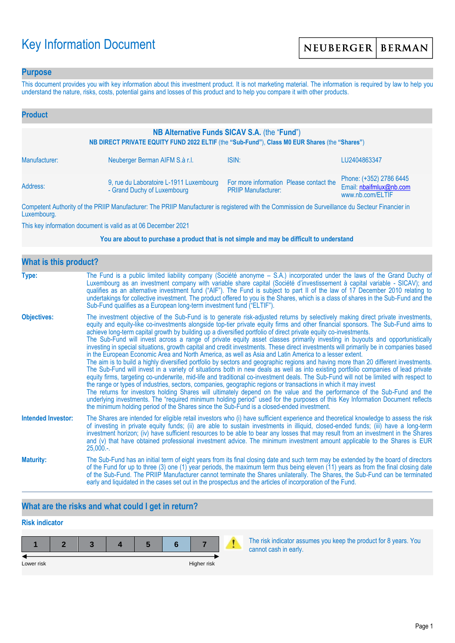# Key Information Document

### **Purpose**

This document provides you with key information about this investment product. It is not marketing material. The information is required by law to help you understand the nature, risks, costs, potential gains and losses of this product and to help you compare it with other products.

| <b>Product</b>                                                                                                                                |                                                                        |                                                                                                                                                                                                                                      |                                                                        |  |  |  |
|-----------------------------------------------------------------------------------------------------------------------------------------------|------------------------------------------------------------------------|--------------------------------------------------------------------------------------------------------------------------------------------------------------------------------------------------------------------------------------|------------------------------------------------------------------------|--|--|--|
| NB Alternative Funds SICAV S.A. (the "Fund")<br>NB DIRECT PRIVATE EQUITY FUND 2022 ELTIF (the "Sub-Fund"), Class M0 EUR Shares (the "Shares") |                                                                        |                                                                                                                                                                                                                                      |                                                                        |  |  |  |
| Manufacturer:                                                                                                                                 | Neuberger Berman AIFM S.à r.l.                                         | ISIN:                                                                                                                                                                                                                                | LU2404863347                                                           |  |  |  |
| Address:                                                                                                                                      | 9, rue du Laboratoire L-1911 Luxembourg<br>- Grand Duchy of Luxembourg | For more information Please contact the<br><b>PRIIP Manufacturer:</b>                                                                                                                                                                | Phone: (+352) 2786 6445<br>Email: nbaifmlux@nb.com<br>www.nb.com/ELTIF |  |  |  |
|                                                                                                                                               |                                                                        | <b>THE BRUSH AND AND AND ACCOUNT AND ACCOUNT AND ACCOUNT AND ACCOUNT AND ACCOUNT ACCOUNT AND ACCOUNT ACCOUNT ACCOUNT ACCOUNT ACCOUNT ACCOUNT ACCOUNT ACCOUNT ACCOUNT ACCOUNT ACCOUNT ACCOUNT ACCOUNT ACCOUNT ACCOUNT ACCOUNT ACC</b> |                                                                        |  |  |  |

Competent Authority of the PRIIP Manufacturer: The PRIIP Manufacturer is registered with the Commission de Surveillance du Secteur Financier in Luxembourg.

This key information document is valid as at 06 December 2021

#### **You are about to purchase a product that is not simple and may be difficult to understand**

| <b>What is this product?</b> |                                                                                                                                                                                                                                                                                                                                                                                                                                                                                                                                                                                                                                                                                                                                                                                                                                                                                                                                                                                                                                                                                                                                                                                                                                                                                                                                                                                                                                                                                                                                                                                                                                                                               |  |  |  |  |
|------------------------------|-------------------------------------------------------------------------------------------------------------------------------------------------------------------------------------------------------------------------------------------------------------------------------------------------------------------------------------------------------------------------------------------------------------------------------------------------------------------------------------------------------------------------------------------------------------------------------------------------------------------------------------------------------------------------------------------------------------------------------------------------------------------------------------------------------------------------------------------------------------------------------------------------------------------------------------------------------------------------------------------------------------------------------------------------------------------------------------------------------------------------------------------------------------------------------------------------------------------------------------------------------------------------------------------------------------------------------------------------------------------------------------------------------------------------------------------------------------------------------------------------------------------------------------------------------------------------------------------------------------------------------------------------------------------------------|--|--|--|--|
| Type:                        | The Fund is a public limited liability company (Société anonyme – S.A.) incorporated under the laws of the Grand Duchy of<br>Luxembourg as an investment company with variable share capital (Société d'investissement à capital variable - SICAV); and<br>qualifies as an alternative investment fund ("AIF"). The Fund is subject to part II of the law of 17 December 2010 relating to<br>undertakings for collective investment. The product offered to you is the Shares, which is a class of shares in the Sub-Fund and the<br>Sub-Fund qualifies as a European long-term investment fund ("ELTIF").                                                                                                                                                                                                                                                                                                                                                                                                                                                                                                                                                                                                                                                                                                                                                                                                                                                                                                                                                                                                                                                                    |  |  |  |  |
| <b>Objectives:</b>           | The investment objective of the Sub-Fund is to generate risk-adjusted returns by selectively making direct private investments,<br>equity and equity-like co-investments alongside top-tier private equity firms and other financial sponsors. The Sub-Fund aims to<br>achieve long-term capital growth by building up a diversified portfolio of direct private equity co-investments.<br>The Sub-Fund will invest across a range of private equity asset classes primarily investing in buyouts and opportunistically<br>investing in special situations, growth capital and credit investments. These direct investments will primarily be in companies based<br>in the European Economic Area and North America, as well as Asia and Latin America to a lesser extent.<br>The aim is to build a highly diversified portfolio by sectors and geographic regions and having more than 20 different investments.<br>The Sub-Fund will invest in a variety of situations both in new deals as well as into existing portfolio companies of lead private<br>equity firms, targeting co-underwrite, mid-life and traditional co-investment deals. The Sub-Fund will not be limited with respect to<br>the range or types of industries, sectors, companies, geographic regions or transactions in which it may invest<br>The returns for investors holding Shares will ultimately depend on the value and the performance of the Sub-Fund and the<br>underlying investments. The "required minimum holding period" used for the purposes of this Key Information Document reflects<br>the minimum holding period of the Shares since the Sub-Fund is a closed-ended investment. |  |  |  |  |
| <b>Intended Investor:</b>    | The Shares are intended for eligible retail investors who (i) have sufficient experience and theoretical knowledge to assess the risk<br>of investing in private equity funds; (ii) are able to sustain investments in illiquid, closed-ended funds; (iii) have a long-term<br>investment horizon; (iv) have sufficient resources to be able to bear any losses that may result from an investment in the Shares<br>and (v) that have obtained professional investment advice. The minimum investment amount applicable to the Shares is EUR<br>$25,000.$ -.                                                                                                                                                                                                                                                                                                                                                                                                                                                                                                                                                                                                                                                                                                                                                                                                                                                                                                                                                                                                                                                                                                                  |  |  |  |  |
| <b>Maturity:</b>             | The Sub-Fund has an initial term of eight years from its final closing date and such term may be extended by the board of directors<br>of the Fund for up to three (3) one (1) year periods, the maximum term thus being eleven (11) years as from the final closing date<br>of the Sub-Fund. The PRIIP Manufacturer cannot terminate the Shares unilaterally. The Shares, the Sub-Fund can be terminated<br>early and liquidated in the cases set out in the prospectus and the articles of incorporation of the Fund.                                                                                                                                                                                                                                                                                                                                                                                                                                                                                                                                                                                                                                                                                                                                                                                                                                                                                                                                                                                                                                                                                                                                                       |  |  |  |  |

## **What are the risks and what could I get in return?**

## **Risk indicator**

| Lower risk |  |  | Higher risk |  |
|------------|--|--|-------------|--|

The risk indicator assumes you keep the product for 8 years. You cannot cash in early.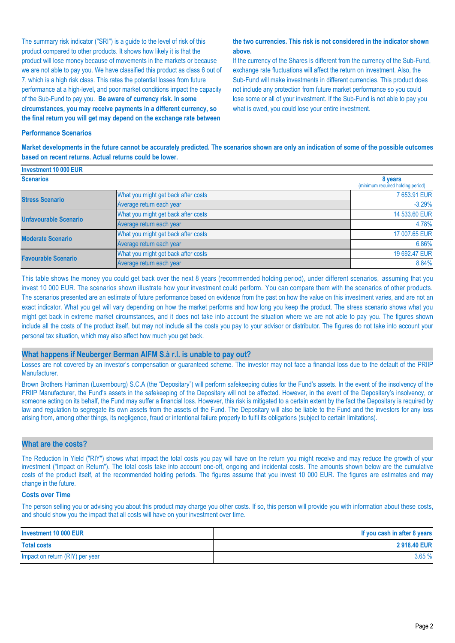The summary risk indicator ("SRI") is a guide to the level of risk of this product compared to other products. It shows how likely it is that the product will lose money because of movements in the markets or because we are not able to pay you. We have classified this product as class 6 out of 7, which is a high risk class. This rates the potential losses from future performance at a high-level, and poor market conditions impact the capacity of the Sub-Fund to pay you. **Be aware of currency risk. In some circumstances, you may receive payments in a different currency, so the final return you will get may depend on the exchange rate between** 

#### **the two currencies. This risk is not considered in the indicator shown above.**

If the currency of the Shares is different from the currency of the Sub-Fund, exchange rate fluctuations will affect the return on investment. Also, the Sub-Fund will make investments in different currencies. This product does not include any protection from future market performance so you could lose some or all of your investment. If the Sub-Fund is not able to pay you what is owed, you could lose your entire investment.

#### **Performance Scenarios**

**Market developments in the future cannot be accurately predicted. The scenarios shown are only an indication of some of the possible outcomes based on recent returns. Actual returns could be lower.**

| Investment 10 000 EUR        |                                              |               |
|------------------------------|----------------------------------------------|---------------|
| <b>Scenarios</b>             | 8 years<br>(minimum required holding period) |               |
| <b>Stress Scenario</b>       | What you might get back after costs          | 7 653.91 EUR  |
|                              | Average return each year                     | $-3.29%$      |
| <b>Unfavourable Scenario</b> | What you might get back after costs          | 14 533,60 EUR |
|                              | Average return each year                     | 4.78%         |
| <b>Moderate Scenario</b>     | What you might get back after costs          | 17 007.65 EUR |
|                              | Average return each year                     | 6.86%         |
| <b>Favourable Scenario</b>   | What you might get back after costs          | 19 692.47 EUR |
|                              | Average return each year                     | 8.84%         |

This table shows the money you could get back over the next 8 years (recommended holding period), under different scenarios, assuming that you invest 10 000 EUR. The scenarios shown illustrate how your investment could perform. You can compare them with the scenarios of other products. The scenarios presented are an estimate of future performance based on evidence from the past on how the value on this investment varies, and are not an exact indicator. What you get will vary depending on how the market performs and how long you keep the product. The stress scenario shows what you might get back in extreme market circumstances, and it does not take into account the situation where we are not able to pay you. The figures shown include all the costs of the product itself, but may not include all the costs you pay to your advisor or distributor. The figures do not take into account your personal tax situation, which may also affect how much you get back.

#### **What happens if Neuberger Berman AIFM S.à r.l. is unable to pay out?**

Losses are not covered by an investor's compensation or guaranteed scheme. The investor may not face a financial loss due to the default of the PRIIP Manufacturer.

Brown Brothers Harriman (Luxembourg) S.C.A (the "Depositary") will perform safekeeping duties for the Fund's assets. In the event of the insolvency of the PRIIP Manufacturer, the Fund's assets in the safekeeping of the Depositary will not be affected. However, in the event of the Depositary's insolvency, or someone acting on its behalf, the Fund may suffer a financial loss. However, this risk is mitigated to a certain extent by the fact the Depositary is required by law and regulation to segregate its own assets from the assets of the Fund. The Depositary will also be liable to the Fund and the investors for any loss arising from, among other things, its negligence, fraud or intentional failure properly to fulfil its obligations (subject to certain limitations).

#### **What are the costs?**

The Reduction In Yield ("RIY") shows what impact the total costs you pay will have on the return you might receive and may reduce the growth of your investment ("Impact on Return"). The total costs take into account one-off, ongoing and incidental costs. The amounts shown below are the cumulative costs of the product itself, at the recommended holding periods. The figures assume that you invest 10 000 EUR. The figures are estimates and may change in the future.

#### **Costs over Time**

The person selling you or advising you about this product may charge you other costs. If so, this person will provide you with information about these costs, and should show you the impact that all costs will have on your investment over time.

| Investment 10 000 EUR           | If you cash in after 8 years |
|---------------------------------|------------------------------|
| <b>Total costs</b>              | 2918.40 EUR                  |
| Impact on return (RIY) per year | 3.65%                        |